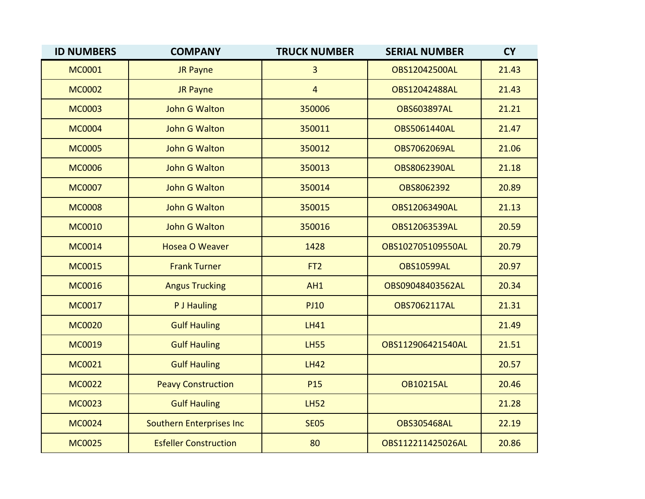| <b>ID NUMBERS</b> | <b>COMPANY</b>               | <b>TRUCK NUMBER</b> | <b>SERIAL NUMBER</b> | <b>CY</b> |
|-------------------|------------------------------|---------------------|----------------------|-----------|
| <b>MC0001</b>     | <b>JR Payne</b>              | 3                   | <b>OBS12042500AL</b> | 21.43     |
| <b>MC0002</b>     | <b>JR Payne</b>              | $\overline{4}$      | OBS12042488AL        | 21.43     |
| <b>MC0003</b>     | <b>John G Walton</b>         | 350006              | <b>OBS603897AL</b>   | 21.21     |
| <b>MC0004</b>     | <b>John G Walton</b>         | 350011              | <b>OBS5061440AL</b>  | 21.47     |
| <b>MC0005</b>     | <b>John G Walton</b>         | 350012              | <b>OBS7062069AL</b>  | 21.06     |
| <b>MC0006</b>     | John G Walton                | 350013              | <b>OBS8062390AL</b>  | 21.18     |
| <b>MC0007</b>     | <b>John G Walton</b>         | 350014              | OBS8062392           | 20.89     |
| <b>MC0008</b>     | <b>John G Walton</b>         | 350015              | OBS12063490AL        | 21.13     |
| <b>MC0010</b>     | John G Walton                | 350016              | OBS12063539AL        | 20.59     |
| <b>MC0014</b>     | <b>Hosea O Weaver</b>        | 1428                | OBS102705109550AL    | 20.79     |
| <b>MC0015</b>     | <b>Frank Turner</b>          | FT <sub>2</sub>     | <b>OBS10599AL</b>    | 20.97     |
| <b>MC0016</b>     | <b>Angus Trucking</b>        | AH1                 | OBS09048403562AL     | 20.34     |
| <b>MC0017</b>     | P J Hauling                  | <b>PJ10</b>         | OBS7062117AL         | 21.31     |
| <b>MC0020</b>     | <b>Gulf Hauling</b>          | <b>LH41</b>         |                      | 21.49     |
| <b>MC0019</b>     | <b>Gulf Hauling</b>          | <b>LH55</b>         | OBS112906421540AL    | 21.51     |
| <b>MC0021</b>     | <b>Gulf Hauling</b>          | <b>LH42</b>         |                      | 20.57     |
| <b>MC0022</b>     | <b>Peavy Construction</b>    | P <sub>15</sub>     | <b>OB10215AL</b>     | 20.46     |
| <b>MC0023</b>     | <b>Gulf Hauling</b>          | <b>LH52</b>         |                      | 21.28     |
| <b>MC0024</b>     | Southern Enterprises Inc     | <b>SE05</b>         | <b>OBS305468AL</b>   | 22.19     |
| <b>MC0025</b>     | <b>Esfeller Construction</b> | 80                  | OBS112211425026AL    | 20.86     |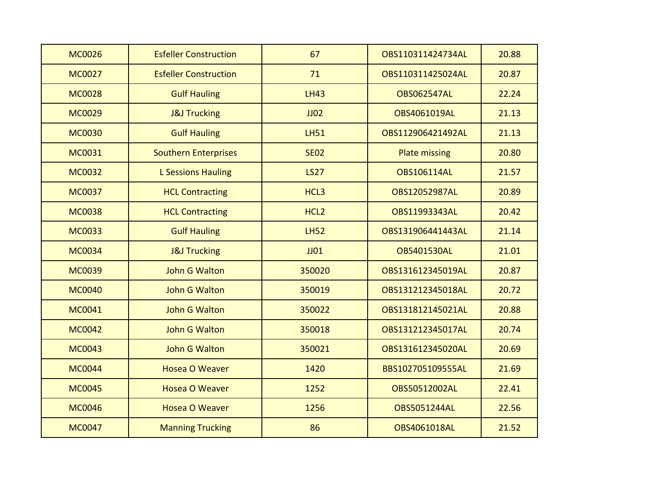| <b>MC0026</b> | <b>Esfeller Construction</b> | 67               | OBS110311424734AL    | 20.88 |
|---------------|------------------------------|------------------|----------------------|-------|
| <b>MC0027</b> | <b>Esfeller Construction</b> | 71               | OBS110311425024AL    | 20.87 |
| <b>MC0028</b> | <b>Gulf Hauling</b>          | <b>LH43</b>      | <b>OBS062547AL</b>   | 22.24 |
| <b>MC0029</b> | <b>J&amp;J Trucking</b>      | JJO2             | OBS4061019AL         | 21.13 |
| <b>MC0030</b> | <b>Gulf Hauling</b>          | <b>LH51</b>      | OBS112906421492AL    | 21.13 |
| <b>MC0031</b> | <b>Southern Enterprises</b>  | <b>SE02</b>      | <b>Plate missing</b> | 20.80 |
| <b>MC0032</b> | <b>L Sessions Hauling</b>    | <b>LS27</b>      | <b>OBS106114AL</b>   | 21.57 |
| <b>MC0037</b> | <b>HCL Contracting</b>       | HCL3             | OBS12052987AL        | 20.89 |
| <b>MC0038</b> | <b>HCL Contracting</b>       | HCL <sub>2</sub> | OBS11993343AL        | 20.42 |
| <b>MC0033</b> | <b>Gulf Hauling</b>          | <b>LH52</b>      | OBS131906441443AL    | 21.14 |
| <b>MC0034</b> | <b>J&amp;J Trucking</b>      | $J$ $J$ $01$     | <b>OBS401530AL</b>   | 21.01 |
| <b>MC0039</b> | <b>John G Walton</b>         | 350020           | OBS131612345019AL    | 20.87 |
| <b>MC0040</b> | <b>John G Walton</b>         | 350019           | OBS131212345018AL    | 20.72 |
| <b>MC0041</b> | <b>John G Walton</b>         | 350022           | OBS131812145021AL    | 20.88 |
| <b>MC0042</b> | <b>John G Walton</b>         | 350018           | OBS131212345017AL    | 20.74 |
| <b>MC0043</b> | <b>John G Walton</b>         | 350021           | OBS131612345020AL    | 20.69 |
| <b>MC0044</b> | <b>Hosea O Weaver</b>        | 1420             | BBS102705109555AL    | 21.69 |
| <b>MC0045</b> | <b>Hosea O Weaver</b>        | 1252             | OBS50512002AL        | 22.41 |
| <b>MC0046</b> | <b>Hosea O Weaver</b>        | 1256             | <b>OBS5051244AL</b>  | 22.56 |
| <b>MC0047</b> | <b>Manning Trucking</b>      | 86               | OBS4061018AL         | 21.52 |
|               |                              |                  |                      |       |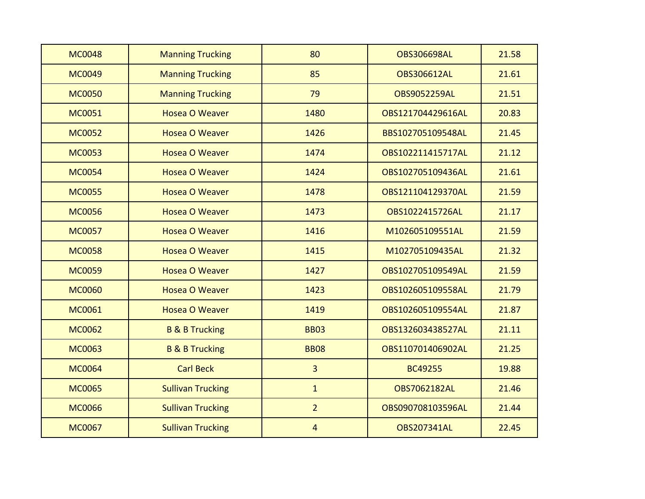| <b>MC0048</b> | <b>Manning Trucking</b>   | 80             | <b>OBS306698AL</b>  | 21.58 |
|---------------|---------------------------|----------------|---------------------|-------|
| <b>MC0049</b> | <b>Manning Trucking</b>   | 85             | <b>OBS306612AL</b>  | 21.61 |
| <b>MC0050</b> | <b>Manning Trucking</b>   | 79             | <b>OBS9052259AL</b> | 21.51 |
| <b>MC0051</b> | <b>Hosea O Weaver</b>     | 1480           | OBS121704429616AL   | 20.83 |
| <b>MC0052</b> | <b>Hosea O Weaver</b>     | 1426           | BBS102705109548AL   | 21.45 |
| <b>MC0053</b> | <b>Hosea O Weaver</b>     | 1474           | OBS102211415717AL   | 21.12 |
| <b>MC0054</b> | <b>Hosea O Weaver</b>     | 1424           | OBS102705109436AL   | 21.61 |
| <b>MC0055</b> | <b>Hosea O Weaver</b>     | 1478           | OBS121104129370AL   | 21.59 |
| <b>MC0056</b> | <b>Hosea O Weaver</b>     | 1473           | OBS1022415726AL     | 21.17 |
| <b>MC0057</b> | <b>Hosea O Weaver</b>     | 1416           | M102605109551AL     | 21.59 |
| <b>MC0058</b> | <b>Hosea O Weaver</b>     | 1415           | M102705109435AL     | 21.32 |
| <b>MC0059</b> | <b>Hosea O Weaver</b>     | 1427           | OBS102705109549AL   | 21.59 |
| <b>MC0060</b> | <b>Hosea O Weaver</b>     | 1423           | OBS102605109558AL   | 21.79 |
| <b>MC0061</b> | <b>Hosea O Weaver</b>     | 1419           | OBS102605109554AL   | 21.87 |
| <b>MC0062</b> | <b>B &amp; B Trucking</b> | <b>BB03</b>    | OBS132603438527AL   | 21.11 |
| <b>MC0063</b> | <b>B &amp; B Trucking</b> | <b>BB08</b>    | OBS110701406902AL   | 21.25 |
| <b>MC0064</b> | <b>Carl Beck</b>          | $\overline{3}$ | <b>BC49255</b>      | 19.88 |
| <b>MC0065</b> | <b>Sullivan Trucking</b>  | $\mathbf{1}$   | <b>OBS7062182AL</b> | 21.46 |
| <b>MC0066</b> | <b>Sullivan Trucking</b>  | $\overline{2}$ | OBS090708103596AL   | 21.44 |
| <b>MC0067</b> | <b>Sullivan Trucking</b>  | 4              | <b>OBS207341AL</b>  | 22.45 |
|               |                           |                |                     |       |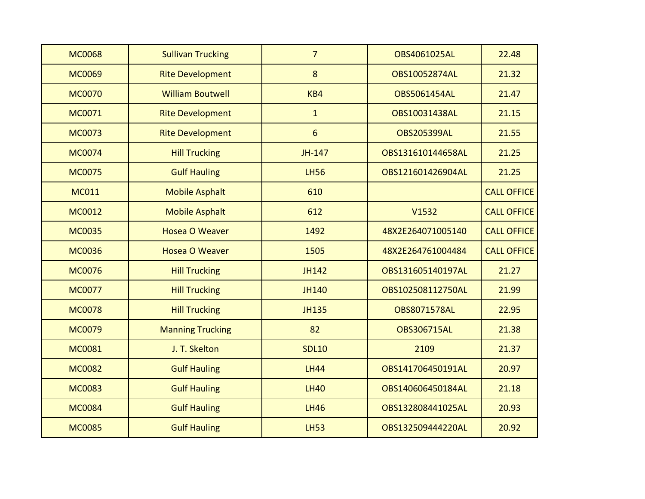| <b>MC0068</b> | <b>Sullivan Trucking</b> | $\overline{7}$ | OBS4061025AL        | 22.48              |
|---------------|--------------------------|----------------|---------------------|--------------------|
| <b>MC0069</b> | <b>Rite Development</b>  | 8              | OBS10052874AL       | 21.32              |
| <b>MC0070</b> | <b>William Boutwell</b>  | KB4            | <b>OBS5061454AL</b> | 21.47              |
| MC0071        | <b>Rite Development</b>  | $\mathbf{1}$   | OBS10031438AL       | 21.15              |
| <b>MC0073</b> | <b>Rite Development</b>  | 6              | <b>OBS205399AL</b>  | 21.55              |
| <b>MC0074</b> | <b>Hill Trucking</b>     | JH-147         | OBS131610144658AL   | 21.25              |
| <b>MC0075</b> | <b>Gulf Hauling</b>      | <b>LH56</b>    | OBS121601426904AL   | 21.25              |
| <b>MC011</b>  | <b>Mobile Asphalt</b>    | 610            |                     | <b>CALL OFFICE</b> |
| <b>MC0012</b> | <b>Mobile Asphalt</b>    | 612            | V1532               | <b>CALL OFFICE</b> |
| <b>MC0035</b> | <b>Hosea O Weaver</b>    | 1492           | 48X2E264071005140   | <b>CALL OFFICE</b> |
| <b>MC0036</b> | <b>Hosea O Weaver</b>    | 1505           | 48X2E264761004484   | <b>CALL OFFICE</b> |
| <b>MC0076</b> | <b>Hill Trucking</b>     | <b>JH142</b>   | OBS131605140197AL   | 21.27              |
| <b>MC0077</b> | <b>Hill Trucking</b>     | <b>JH140</b>   | OBS102508112750AL   | 21.99              |
| <b>MC0078</b> | <b>Hill Trucking</b>     | <b>JH135</b>   | <b>OBS8071578AL</b> | 22.95              |
| <b>MC0079</b> | <b>Manning Trucking</b>  | 82             | <b>OBS306715AL</b>  | 21.38              |
| <b>MC0081</b> | J. T. Skelton            | <b>SDL10</b>   | 2109                | 21.37              |
| <b>MC0082</b> | <b>Gulf Hauling</b>      | <b>LH44</b>    | OBS141706450191AL   | 20.97              |
| <b>MC0083</b> | <b>Gulf Hauling</b>      | <b>LH40</b>    | OBS140606450184AL   | 21.18              |
| <b>MC0084</b> | <b>Gulf Hauling</b>      | <b>LH46</b>    | OBS132808441025AL   | 20.93              |
| <b>MC0085</b> | <b>Gulf Hauling</b>      | <b>LH53</b>    | OBS132509444220AL   | 20.92              |
|               |                          |                |                     |                    |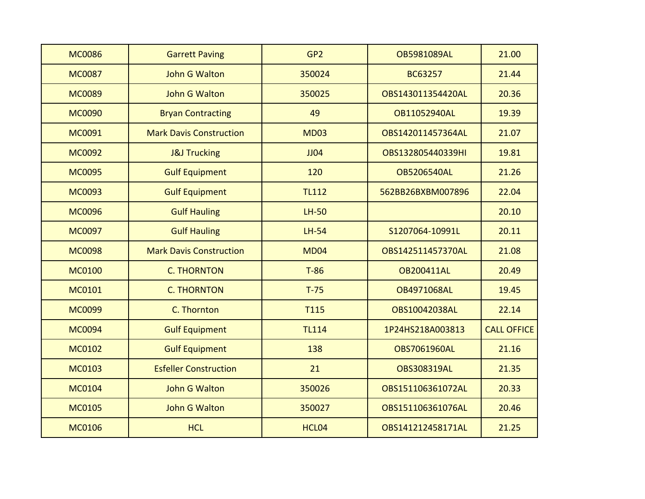| <b>MC0086</b> | <b>Garrett Paving</b>          | GP <sub>2</sub> | <b>OB5981089AL</b>  | 21.00              |
|---------------|--------------------------------|-----------------|---------------------|--------------------|
| <b>MC0087</b> | John G Walton                  | 350024          | BC63257             | 21.44              |
| <b>MC0089</b> | <b>John G Walton</b>           | 350025          | OBS143011354420AL   | 20.36              |
| <b>MC0090</b> | <b>Bryan Contracting</b>       | 49              | OB11052940AL        | 19.39              |
| <b>MC0091</b> | <b>Mark Davis Construction</b> | <b>MD03</b>     | OBS142011457364AL   | 21.07              |
| <b>MC0092</b> | <b>J&amp;J Trucking</b>        | JJO4            | OBS132805440339HI   | 19.81              |
| <b>MC0095</b> | <b>Gulf Equipment</b>          | 120             | <b>OB5206540AL</b>  | 21.26              |
| <b>MC0093</b> | <b>Gulf Equipment</b>          | <b>TL112</b>    | 562BB26BXBM007896   | 22.04              |
| <b>MC0096</b> | <b>Gulf Hauling</b>            | $LH-50$         |                     | 20.10              |
| <b>MC0097</b> | <b>Gulf Hauling</b>            | $LH-54$         | S1207064-10991L     | 20.11              |
| <b>MC0098</b> | <b>Mark Davis Construction</b> | <b>MD04</b>     | OBS142511457370AL   | 21.08              |
| <b>MC0100</b> | <b>C. THORNTON</b>             | $T-86$          | OB200411AL          | 20.49              |
| <b>MC0101</b> | <b>C. THORNTON</b>             | $T-75$          | OB4971068AL         | 19.45              |
| <b>MC0099</b> | C. Thornton                    | <b>T115</b>     | OBS10042038AL       | 22.14              |
| <b>MC0094</b> | <b>Gulf Equipment</b>          | <b>TL114</b>    | 1P24HS218A003813    | <b>CALL OFFICE</b> |
| <b>MC0102</b> | <b>Gulf Equipment</b>          | 138             | <b>OBS7061960AL</b> | 21.16              |
| <b>MC0103</b> | <b>Esfeller Construction</b>   | 21              | <b>OBS308319AL</b>  | 21.35              |
| <b>MC0104</b> | <b>John G Walton</b>           | 350026          | OBS151106361072AL   | 20.33              |
| <b>MC0105</b> | <b>John G Walton</b>           | 350027          | OBS151106361076AL   | 20.46              |
| <b>MC0106</b> | <b>HCL</b>                     | HCL04           | OBS141212458171AL   | 21.25              |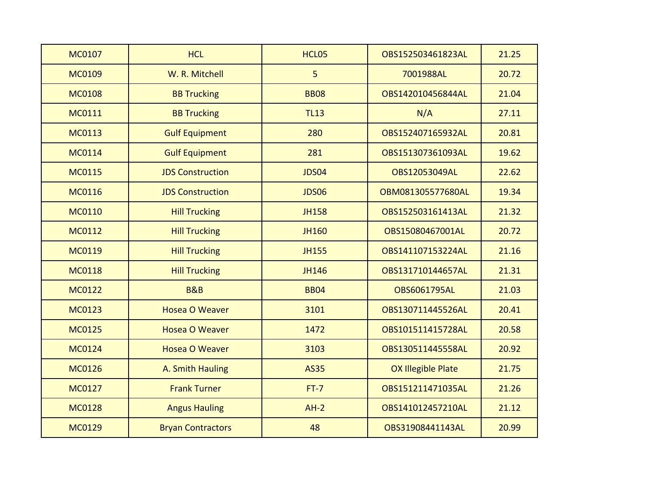| <b>MC0107</b> | <b>HCL</b>               | HCL05        | OBS152503461823AL         | 21.25 |
|---------------|--------------------------|--------------|---------------------------|-------|
| <b>MC0109</b> | W. R. Mitchell           | 5            | 7001988AL                 | 20.72 |
| <b>MC0108</b> | <b>BB Trucking</b>       | <b>BB08</b>  | OBS142010456844AL         | 21.04 |
| <b>MC0111</b> | <b>BB Trucking</b>       | <b>TL13</b>  | N/A                       | 27.11 |
| <b>MC0113</b> | <b>Gulf Equipment</b>    | 280          | OBS152407165932AL         | 20.81 |
| <b>MC0114</b> | <b>Gulf Equipment</b>    | 281          | OBS151307361093AL         | 19.62 |
| <b>MC0115</b> | <b>JDS Construction</b>  | <b>JDS04</b> | OBS12053049AL             | 22.62 |
| <b>MC0116</b> | <b>JDS Construction</b>  | <b>JDS06</b> | OBM081305577680AL         | 19.34 |
| <b>MC0110</b> | <b>Hill Trucking</b>     | <b>JH158</b> | OBS152503161413AL         | 21.32 |
| <b>MC0112</b> | <b>Hill Trucking</b>     | <b>JH160</b> | OBS15080467001AL          | 20.72 |
| <b>MC0119</b> | <b>Hill Trucking</b>     | <b>JH155</b> | OBS141107153224AL         | 21.16 |
| <b>MC0118</b> | <b>Hill Trucking</b>     | JH146        | OBS131710144657AL         | 21.31 |
| <b>MC0122</b> | <b>B&amp;B</b>           | <b>BB04</b>  | OBS6061795AL              | 21.03 |
| <b>MC0123</b> | <b>Hosea O Weaver</b>    | 3101         | OBS130711445526AL         | 20.41 |
| <b>MC0125</b> | <b>Hosea O Weaver</b>    | 1472         | OBS101511415728AL         | 20.58 |
| <b>MC0124</b> | <b>Hosea O Weaver</b>    | 3103         | OBS130511445558AL         | 20.92 |
| <b>MC0126</b> | A. Smith Hauling         | <b>AS35</b>  | <b>OX Illegible Plate</b> | 21.75 |
| <b>MC0127</b> | <b>Frank Turner</b>      | $FT-7$       | OBS151211471035AL         | 21.26 |
| <b>MC0128</b> | <b>Angus Hauling</b>     | $AH-2$       | OBS141012457210AL         | 21.12 |
| <b>MC0129</b> | <b>Bryan Contractors</b> | 48           | OBS31908441143AL          | 20.99 |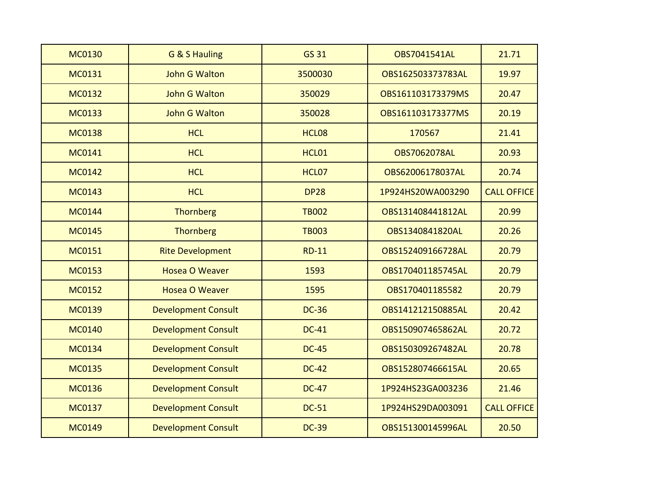| <b>MC0130</b> | G & S Hauling              | <b>GS 31</b>      | <b>OBS7041541AL</b> | 21.71              |
|---------------|----------------------------|-------------------|---------------------|--------------------|
| <b>MC0131</b> | <b>John G Walton</b>       | 3500030           | OBS162503373783AL   | 19.97              |
| <b>MC0132</b> | <b>John G Walton</b>       | 350029            | OBS161103173379MS   | 20.47              |
| <b>MC0133</b> | <b>John G Walton</b>       | 350028            | OBS161103173377MS   | 20.19              |
| <b>MC0138</b> | <b>HCL</b>                 | HCL08             | 170567              | 21.41              |
| <b>MC0141</b> | <b>HCL</b>                 | HCL01             | <b>OBS7062078AL</b> | 20.93              |
| <b>MC0142</b> | <b>HCL</b>                 | HCL <sub>07</sub> | OBS62006178037AL    | 20.74              |
| <b>MC0143</b> | <b>HCL</b>                 | <b>DP28</b>       | 1P924HS20WA003290   | <b>CALL OFFICE</b> |
| <b>MC0144</b> | Thornberg                  | <b>TB002</b>      | OBS131408441812AL   | 20.99              |
| <b>MC0145</b> | Thornberg                  | <b>TB003</b>      | OBS1340841820AL     | 20.26              |
| <b>MC0151</b> | <b>Rite Development</b>    | <b>RD-11</b>      | OBS152409166728AL   | 20.79              |
| <b>MC0153</b> | <b>Hosea O Weaver</b>      | 1593              | OBS170401185745AL   | 20.79              |
| <b>MC0152</b> | <b>Hosea O Weaver</b>      | 1595              | OBS170401185582     | 20.79              |
| <b>MC0139</b> | <b>Development Consult</b> | <b>DC-36</b>      | OBS141212150885AL   | 20.42              |
| <b>MC0140</b> | <b>Development Consult</b> | <b>DC-41</b>      | OBS150907465862AL   | 20.72              |
| <b>MC0134</b> | <b>Development Consult</b> | <b>DC-45</b>      | OBS150309267482AL   | 20.78              |
| <b>MC0135</b> | <b>Development Consult</b> | <b>DC-42</b>      | OBS152807466615AL   | 20.65              |
| <b>MC0136</b> | <b>Development Consult</b> | <b>DC-47</b>      | 1P924HS23GA003236   | 21.46              |
| <b>MC0137</b> | <b>Development Consult</b> | <b>DC-51</b>      | 1P924HS29DA003091   | <b>CALL OFFICE</b> |
| <b>MC0149</b> | <b>Development Consult</b> | <b>DC-39</b>      | OBS151300145996AL   | 20.50              |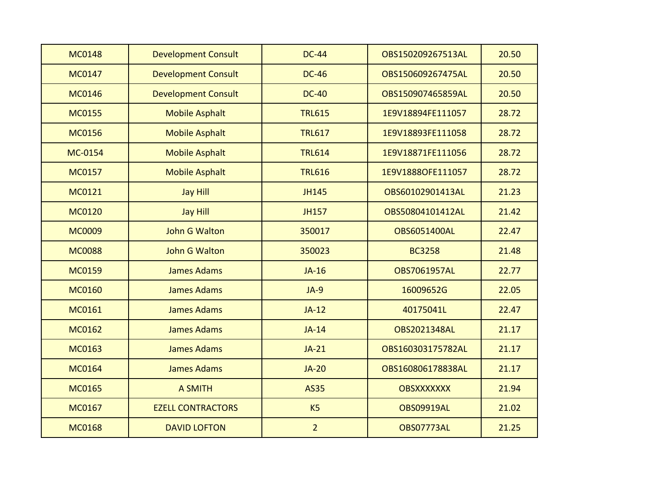| <b>MC0148</b> | <b>Development Consult</b> | <b>DC-44</b>   | OBS150209267513AL   | 20.50 |
|---------------|----------------------------|----------------|---------------------|-------|
| <b>MC0147</b> | <b>Development Consult</b> | <b>DC-46</b>   | OBS150609267475AL   | 20.50 |
| <b>MC0146</b> | <b>Development Consult</b> | <b>DC-40</b>   | OBS150907465859AL   | 20.50 |
| <b>MC0155</b> | <b>Mobile Asphalt</b>      | <b>TRL615</b>  | 1E9V18894FE111057   | 28.72 |
| <b>MC0156</b> | <b>Mobile Asphalt</b>      | <b>TRL617</b>  | 1E9V18893FE111058   | 28.72 |
| MC-0154       | <b>Mobile Asphalt</b>      | <b>TRL614</b>  | 1E9V18871FE111056   | 28.72 |
| <b>MC0157</b> | <b>Mobile Asphalt</b>      | <b>TRL616</b>  | 1E9V1888OFE111057   | 28.72 |
| <b>MC0121</b> | <b>Jay Hill</b>            | <b>JH145</b>   | OBS60102901413AL    | 21.23 |
| <b>MC0120</b> | <b>Jay Hill</b>            | <b>JH157</b>   | OBS50804101412AL    | 21.42 |
| <b>MC0009</b> | <b>John G Walton</b>       | 350017         | <b>OBS6051400AL</b> | 22.47 |
| <b>MC0088</b> | <b>John G Walton</b>       | 350023         | <b>BC3258</b>       | 21.48 |
| <b>MC0159</b> | <b>James Adams</b>         | $JA-16$        | <b>OBS7061957AL</b> | 22.77 |
| <b>MC0160</b> | <b>James Adams</b>         | $JA-9$         | 16009652G           | 22.05 |
| <b>MC0161</b> | <b>James Adams</b>         | $JA-12$        | 40175041L           | 22.47 |
| <b>MC0162</b> | <b>James Adams</b>         | $JA-14$        | <b>OBS2021348AL</b> | 21.17 |
| <b>MC0163</b> | <b>James Adams</b>         | $JA-21$        | OBS160303175782AL   | 21.17 |
| <b>MC0164</b> | <b>James Adams</b>         | $JA-20$        | OBS160806178838AL   | 21.17 |
| <b>MC0165</b> | <b>A SMITH</b>             | <b>AS35</b>    | <b>OBSXXXXXXX</b>   | 21.94 |
| <b>MC0167</b> | <b>EZELL CONTRACTORS</b>   | K <sub>5</sub> | <b>OBS09919AL</b>   | 21.02 |
| <b>MC0168</b> | <b>DAVID LOFTON</b>        | $\overline{2}$ | <b>OBS07773AL</b>   | 21.25 |
|               |                            |                |                     |       |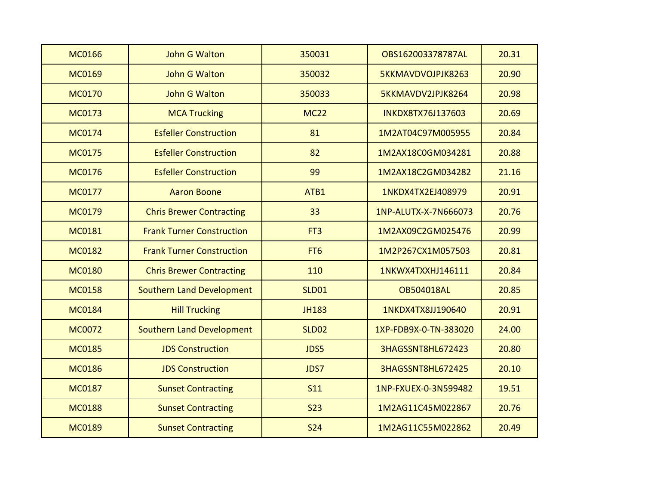| <b>MC0166</b> | <b>John G Walton</b>             | 350031          | OBS162003378787AL     | 20.31 |
|---------------|----------------------------------|-----------------|-----------------------|-------|
| <b>MC0169</b> | <b>John G Walton</b>             | 350032          | 5KKMAVDVOJPJK8263     | 20.90 |
| <b>MC0170</b> | <b>John G Walton</b>             | 350033          | 5KKMAVDV2JPJK8264     | 20.98 |
| <b>MC0173</b> | <b>MCA Trucking</b>              | <b>MC22</b>     | INKDX8TX76J137603     | 20.69 |
| <b>MC0174</b> | <b>Esfeller Construction</b>     | 81              | 1M2AT04C97M005955     | 20.84 |
| <b>MC0175</b> | <b>Esfeller Construction</b>     | 82              | 1M2AX18C0GM034281     | 20.88 |
| <b>MC0176</b> | <b>Esfeller Construction</b>     | 99              | 1M2AX18C2GM034282     | 21.16 |
| <b>MC0177</b> | <b>Aaron Boone</b>               | ATB1            | 1NKDX4TX2EJ408979     | 20.91 |
| <b>MC0179</b> | <b>Chris Brewer Contracting</b>  | 33              | 1NP-ALUTX-X-7N666073  | 20.76 |
| <b>MC0181</b> | <b>Frank Turner Construction</b> | FT <sub>3</sub> | 1M2AX09C2GM025476     | 20.99 |
| <b>MC0182</b> | <b>Frank Turner Construction</b> | FT <sub>6</sub> | 1M2P267CX1M057503     | 20.81 |
| <b>MC0180</b> | <b>Chris Brewer Contracting</b>  | 110             | 1NKWX4TXXHJ146111     | 20.84 |
| <b>MC0158</b> | <b>Southern Land Development</b> | <b>SLD01</b>    | <b>OB504018AL</b>     | 20.85 |
| <b>MC0184</b> | <b>Hill Trucking</b>             | <b>JH183</b>    | 1NKDX4TX8JJ190640     | 20.91 |
| <b>MC0072</b> | <b>Southern Land Development</b> | <b>SLD02</b>    | 1XP-FDB9X-0-TN-383020 | 24.00 |
| <b>MC0185</b> | <b>JDS Construction</b>          | JDS5            | 3HAGSSNT8HL672423     | 20.80 |
| <b>MC0186</b> | <b>JDS Construction</b>          | JDS7            | 3HAGSSNT8HL672425     | 20.10 |
| <b>MC0187</b> | <b>Sunset Contracting</b>        | <b>S11</b>      | 1NP-FXUEX-0-3N599482  | 19.51 |
| <b>MC0188</b> | <b>Sunset Contracting</b>        | <b>S23</b>      | 1M2AG11C45M022867     | 20.76 |
| <b>MC0189</b> | <b>Sunset Contracting</b>        | <b>S24</b>      | 1M2AG11C55M022862     | 20.49 |
|               |                                  |                 |                       |       |